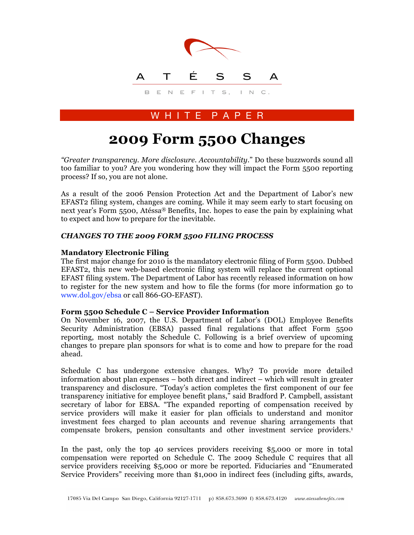

# W H I T E P A P E R

# **2009 Form 5500 Changes**

*"Greater transparency. More disclosure. Accountability*." Do these buzzwords sound all too familiar to you? Are you wondering how they will impact the Form 5500 reporting process? If so, you are not alone.

As a result of the 2006 Pension Protection Act and the Department of Labor's new EFAST2 filing system, changes are coming. While it may seem early to start focusing on next year's Form 5500, Atéssa® Benefits, Inc. hopes to ease the pain by explaining what to expect and how to prepare for the inevitable.

# *CHANGES TO THE 2009 FORM 5500 FILING PROCESS*

# **Mandatory Electronic Filing**

The first major change for 2010 is the mandatory electronic filing of Form 5500. Dubbed EFAST2, this new web-based electronic filing system will replace the current optional EFAST filing system. The Department of Labor has recently released information on how to register for the new system and how to file the forms (for more information go to www.dol.gov/ebsa or call 866-GO-EFAST).

### **Form 5500 Schedule C – Service Provider Information**

On November 16, 2007, the U.S. Department of Labor's (DOL) Employee Benefits Security Administration (EBSA) passed final regulations that affect Form 5500 reporting, most notably the Schedule C. Following is a brief overview of upcoming changes to prepare plan sponsors for what is to come and how to prepare for the road ahead.

Schedule C has undergone extensive changes. Why? To provide more detailed information about plan expenses – both direct and indirect – which will result in greater transparency and disclosure. "Today's action completes the first component of our fee transparency initiative for employee benefit plans," said Bradford P. Campbell, assistant secretary of labor for EBSA. "The expanded reporting of compensation received by service providers will make it easier for plan officials to understand and monitor investment fees charged to plan accounts and revenue sharing arrangements that compensate brokers, pension consultants and other investment service providers.1

In the past, only the top 40 services providers receiving \$5,000 or more in total compensation were reported on Schedule C. The 2009 Schedule C requires that all service providers receiving \$5,000 or more be reported. Fiduciaries and "Enumerated Service Providers" receiving more than \$1,000 in indirect fees (including gifts, awards,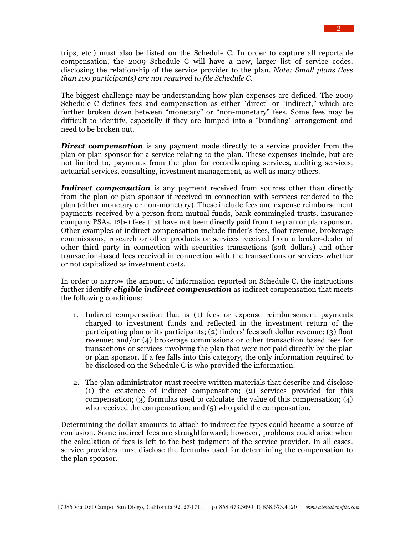trips, etc.) must also be listed on the Schedule C. In order to capture all reportable compensation, the 2009 Schedule C will have a new, larger list of service codes, disclosing the relationship of the service provider to the plan. *Note: Small plans (less than 100 participants) are not required to file Schedule C.*

The biggest challenge may be understanding how plan expenses are defined. The 2009 Schedule C defines fees and compensation as either "direct" or "indirect," which are further broken down between "monetary" or "non-monetary" fees. Some fees may be difficult to identify, especially if they are lumped into a "bundling" arrangement and need to be broken out.

**Direct compensation** is any payment made directly to a service provider from the plan or plan sponsor for a service relating to the plan. These expenses include, but are not limited to, payments from the plan for recordkeeping services, auditing services, actuarial services, consulting, investment management, as well as many others.

*Indirect compensation* is any payment received from sources other than directly from the plan or plan sponsor if received in connection with services rendered to the plan (either monetary or non-monetary). These include fees and expense reimbursement payments received by a person from mutual funds, bank commingled trusts, insurance company PSAs, 12b-1 fees that have not been directly paid from the plan or plan sponsor. Other examples of indirect compensation include finder's fees, float revenue, brokerage commissions, research or other products or services received from a broker-dealer of other third party in connection with securities transactions (soft dollars) and other transaction-based fees received in connection with the transactions or services whether or not capitalized as investment costs.

In order to narrow the amount of information reported on Schedule C, the instructions further identify *eligible indirect compensation* as indirect compensation that meets the following conditions:

- 1. Indirect compensation that is (1) fees or expense reimbursement payments charged to investment funds and reflected in the investment return of the participating plan or its participants; (2) finders' fees soft dollar revenue; (3) float revenue; and/or (4) brokerage commissions or other transaction based fees for transactions or services involving the plan that were not paid directly by the plan or plan sponsor. If a fee falls into this category, the only information required to be disclosed on the Schedule C is who provided the information.
- 2. The plan administrator must receive written materials that describe and disclose (1) the existence of indirect compensation; (2) services provided for this compensation; (3) formulas used to calculate the value of this compensation; (4) who received the compensation; and  $(5)$  who paid the compensation.

Determining the dollar amounts to attach to indirect fee types could become a source of confusion. Some indirect fees are straightforward; however, problems could arise when the calculation of fees is left to the best judgment of the service provider. In all cases, service providers must disclose the formulas used for determining the compensation to the plan sponsor.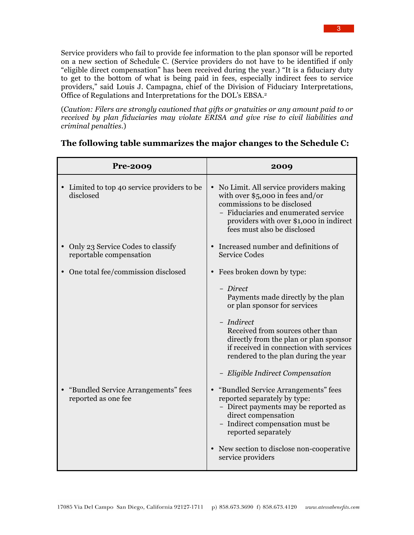Service providers who fail to provide fee information to the plan sponsor will be reported on a new section of Schedule C. (Service providers do not have to be identified if only "eligible direct compensation" has been received during the year.) "It is a fiduciary duty to get to the bottom of what is being paid in fees, especially indirect fees to service providers," said Louis J. Campagna, chief of the Division of Fiduciary Interpretations, Office of Regulations and Interpretations for the DOL's EBSA.2

(*Caution: Filers are strongly cautioned that gifts or gratuities or any amount paid to or received by plan fiduciaries may violate ERISA and give rise to civil liabilities and criminal penalties*.)

| <b>Pre-2009</b>                                              | 2009                                                                                                                                                                                                                         |
|--------------------------------------------------------------|------------------------------------------------------------------------------------------------------------------------------------------------------------------------------------------------------------------------------|
| Limited to top 40 service providers to be<br>disclosed       | No Limit. All service providers making<br>with over $$5,000$ in fees and/or<br>commissions to be disclosed<br>- Fiduciaries and enumerated service<br>providers with over \$1,000 in indirect<br>fees must also be disclosed |
| Only 23 Service Codes to classify<br>reportable compensation | Increased number and definitions of<br><b>Service Codes</b>                                                                                                                                                                  |
| One total fee/commission disclosed                           | Fees broken down by type:                                                                                                                                                                                                    |
|                                                              | - Direct<br>Payments made directly by the plan<br>or plan sponsor for services                                                                                                                                               |
|                                                              | - Indirect<br>Received from sources other than<br>directly from the plan or plan sponsor<br>if received in connection with services<br>rendered to the plan during the year                                                  |
|                                                              | - Eligible Indirect Compensation                                                                                                                                                                                             |
| "Bundled Service Arrangements" fees<br>reported as one fee   | "Bundled Service Arrangements" fees<br>reported separately by type:<br>- Direct payments may be reported as<br>direct compensation<br>- Indirect compensation must be<br>reported separately                                 |
|                                                              | New section to disclose non-cooperative<br>service providers                                                                                                                                                                 |

# **The following table summarizes the major changes to the Schedule C:**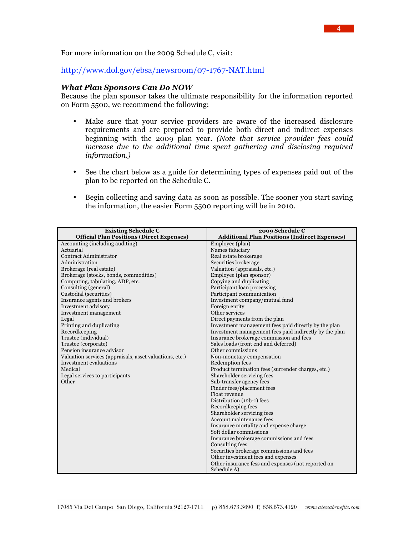For more information on the 2009 Schedule C, visit:

# http://www.dol.gov/ebsa/newsroom/07-1767-NAT.html

#### *What Plan Sponsors Can Do NOW*

Because the plan sponsor takes the ultimate responsibility for the information reported on Form 5500, we recommend the following:

- Make sure that your service providers are aware of the increased disclosure requirements and are prepared to provide both direct and indirect expenses beginning with the 2009 plan year. *(Note that service provider fees could increase due to the additional time spent gathering and disclosing required information.)*
- See the chart below as a guide for determining types of expenses paid out of the plan to be reported on the Schedule C.
- Begin collecting and saving data as soon as possible. The sooner you start saving the information, the easier Form 5500 reporting will be in 2010.

| <b>Existing Schedule C</b>                              | 2009 Schedule C                                        |
|---------------------------------------------------------|--------------------------------------------------------|
| <b>Official Plan Positions (Direct Expenses)</b>        | <b>Additional Plan Positions (Indirect Expenses)</b>   |
| Accounting (including auditing)                         | Employee (plan)                                        |
| Actuarial                                               | Names fiduciary                                        |
| Contract Administrator                                  | Real estate brokerage                                  |
| Administration                                          | Securities brokerage                                   |
| Brokerage (real estate)                                 | Valuation (appraisals, etc.)                           |
| Brokerage (stocks, bonds, commodities)                  | Employee (plan sponsor)                                |
| Computing, tabulating, ADP, etc.                        | Copying and duplicating                                |
| Consulting (general)                                    | Participant loan processing                            |
| Custodial (securities)                                  | Participant communication                              |
| Insurance agents and brokers                            | Investment company/mutual fund                         |
| Investment advisory                                     | Foreign entity                                         |
| Investment management                                   | Other services                                         |
| Legal                                                   | Direct payments from the plan                          |
| Printing and duplicating                                | Investment management fees paid directly by the plan   |
| Recordkeeping                                           | Investment management fees paid indirectly by the plan |
| Trustee (individual)                                    | Insurance brokerage commission and fees                |
| Trustee (corporate)                                     | Sales loads (front end and deferred)                   |
| Pension insurance advisor                               | Other commissions                                      |
| Valuation services (appraisals, asset valuations, etc.) | Non-monetary compensation                              |
| Investment evaluations                                  | Redemption fees                                        |
| Medical                                                 | Product termination fees (surrender charges, etc.)     |
| Legal services to participants                          | Shareholder servicing fees                             |
| Other                                                   | Sub-transfer agency fees                               |
|                                                         | Finder fees/placement fees<br>Float revenue            |
|                                                         |                                                        |
|                                                         | Distribution (12b-1) fees<br>Recordkeeping fees        |
|                                                         | Shareholder servicing fees                             |
|                                                         | Account maintenance fees                               |
|                                                         | Insurance mortality and expense charge                 |
|                                                         | Soft dollar commissions                                |
|                                                         | Insurance brokerage commissions and fees               |
|                                                         | Consulting fees                                        |
|                                                         | Securities brokerage commissions and fees              |
|                                                         | Other investment fees and expenses                     |
|                                                         | Other insurance fess and expenses (not reported on     |
|                                                         | Schedule A)                                            |
|                                                         |                                                        |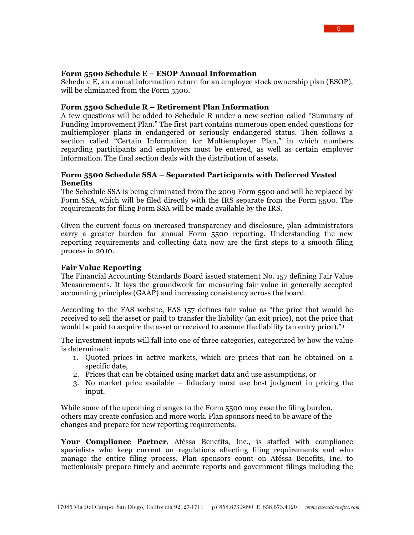Schedule E, an annual information return for an employee stock ownership plan (ESOP), will be eliminated from the Form 5500.

### **Form 5500 Schedule R – Retirement Plan Information**

A few questions will be added to Schedule R under a new section called "Summary of Funding Improvement Plan." The first part contains numerous open ended questions for multiemployer plans in endangered or seriously endangered status. Then follows a section called "Certain Information for Multiemployer Plan," in which numbers regarding participants and employers must be entered, as well as certain employer information. The final section deals with the distribution of assets.

### **Form 5500 Schedule SSA – Separated Participants with Deferred Vested Benefits**

The Schedule SSA is being eliminated from the 2009 Form 5500 and will be replaced by Form SSA, which will be filed directly with the IRS separate from the Form 5500. The requirements for filing Form SSA will be made available by the IRS.

Given the current focus on increased transparency and disclosure, plan administrators carry a greater burden for annual Form 5500 reporting. Understanding the new reporting requirements and collecting data now are the first steps to a smooth filing process in 2010.

#### **Fair Value Reporting**

The Financial Accounting Standards Board issued statement No. 157 defining Fair Value Measurements. It lays the groundwork for measuring fair value in generally accepted accounting principles (GAAP) and increasing consistency across the board.

According to the FAS website, FAS 157 defines fair value as "the price that would be received to sell the asset or paid to transfer the liability (an exit price), not the price that would be paid to acquire the asset or received to assume the liability (an entry price)."3

The investment inputs will fall into one of three categories, categorized by how the value is determined:

- 1. Quoted prices in active markets, which are prices that can be obtained on a specific date,
- 2. Prices that can be obtained using market data and use assumptions, or
- 3. No market price available fiduciary must use best judgment in pricing the input.

While some of the upcoming changes to the Form 5500 may ease the filing burden, others may create confusion and more work. Plan sponsors need to be aware of the changes and prepare for new reporting requirements.

**Your Compliance Partner**, Atéssa Benefits, Inc., is staffed with compliance specialists who keep current on regulations affecting filing requirements and who manage the entire filing process. Plan sponsors count on Atéssa Benefits, Inc. to meticulously prepare timely and accurate reports and government filings including the